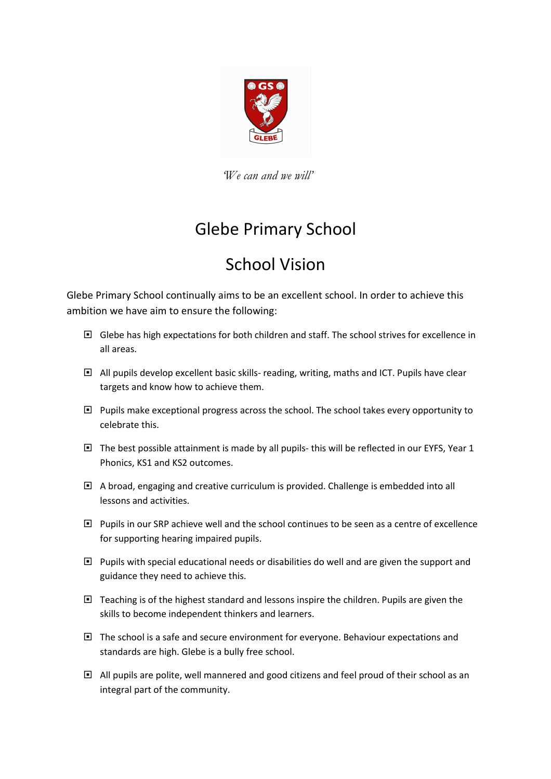

'We can and we will'

## Glebe Primary School

## School Vision

Glebe Primary School continually aims to be an excellent school. In order to achieve this ambition we have aim to ensure the following:

- Glebe has high expectations for both children and staff. The school strives for excellence in all areas.
- All pupils develop excellent basic skills- reading, writing, maths and ICT. Pupils have clear targets and know how to achieve them.
- $\Box$  Pupils make exceptional progress across the school. The school takes every opportunity to celebrate this.
- $\Box$  The best possible attainment is made by all pupils- this will be reflected in our EYFS, Year 1 Phonics, KS1 and KS2 outcomes.
- A broad, engaging and creative curriculum is provided. Challenge is embedded into all lessons and activities.
- $\Box$  Pupils in our SRP achieve well and the school continues to be seen as a centre of excellence for supporting hearing impaired pupils.
- □ Pupils with special educational needs or disabilities do well and are given the support and guidance they need to achieve this.
- $\Box$  Teaching is of the highest standard and lessons inspire the children. Pupils are given the skills to become independent thinkers and learners.
- $\Box$  The school is a safe and secure environment for everyone. Behaviour expectations and standards are high. Glebe is a bully free school.
- $\Box$  All pupils are polite, well mannered and good citizens and feel proud of their school as an integral part of the community.